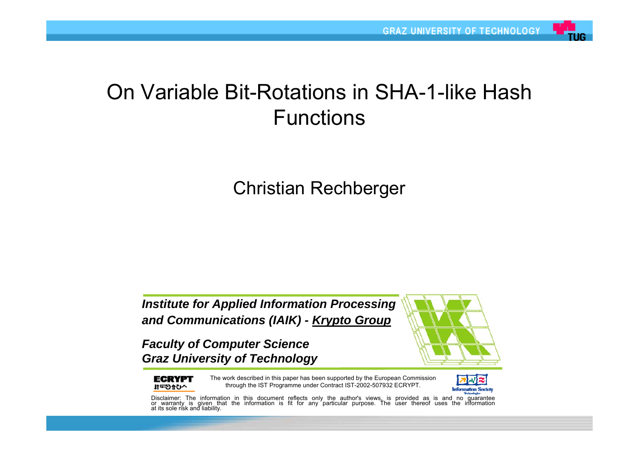### On Variable Bit-Rotations in SHA-1-like Hash **Functions**

Christian Rechberger

*Institute for Applied Information Processing and Communications (IAIK) - Krypto Group*

*Faculty of Computer Science Graz University of Technology*



**ECRYPT** へび会びマれ

The work described in this paper has been supported by the European Commission through the IST Programme under Contract IST-2002-507932 ECRYPT.



Disclaimer: The information in this document reflects only the author's views, is provided as is and no guarantee or warranty is given that the information is fit for any particular purpose. The user thereof uses the infor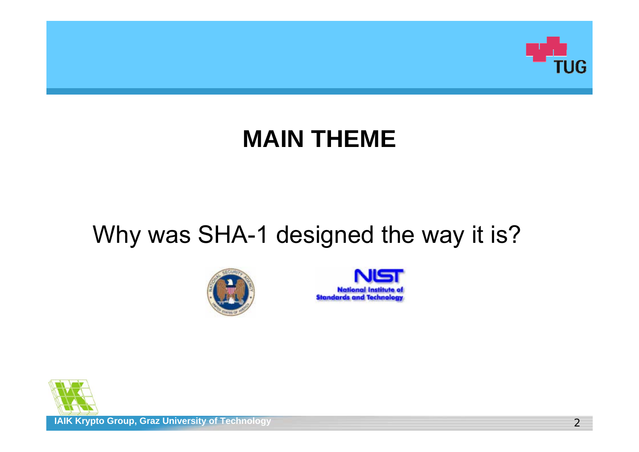

## **MAIN THEME**

## Why was SHA-1 designed the way it is?





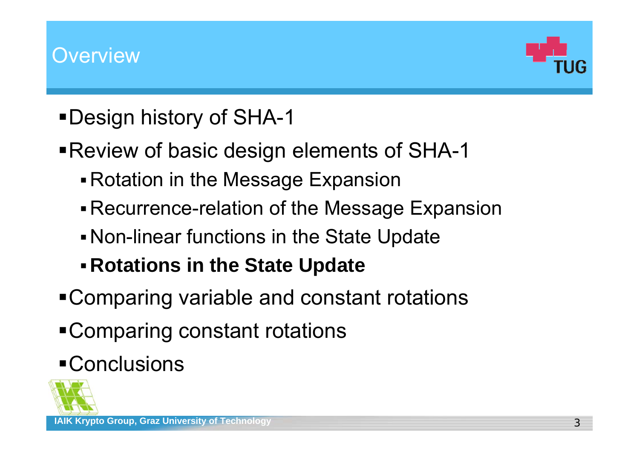

- Design history of SHA-1
- Review of basic design elements of SHA-1
	- Rotation in the Message Expansion
	- Recurrence-relation of the Message Expansion
	- Non-linear functions in the State Update
	- **Rotations in the State Update**
- Comparing variable and constant rotations
- Comparing constant rotations

# Conclusions

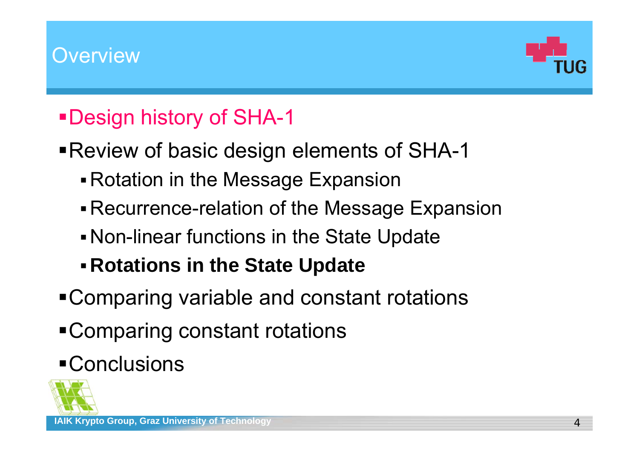

## Design history of SHA-1

- Review of basic design elements of SHA-1
	- Rotation in the Message Expansion
	- Recurrence-relation of the Message Expansion
	- Non-linear functions in the State Update
	- **Rotations in the State Update**
- Comparing variable and constant rotations
- Comparing constant rotations

# Conclusions

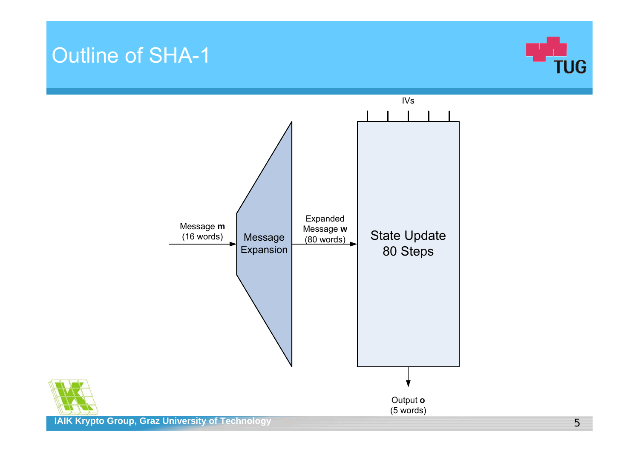### Outline of SHA-1





**IAIK Krypto Group, Graz University of Technology**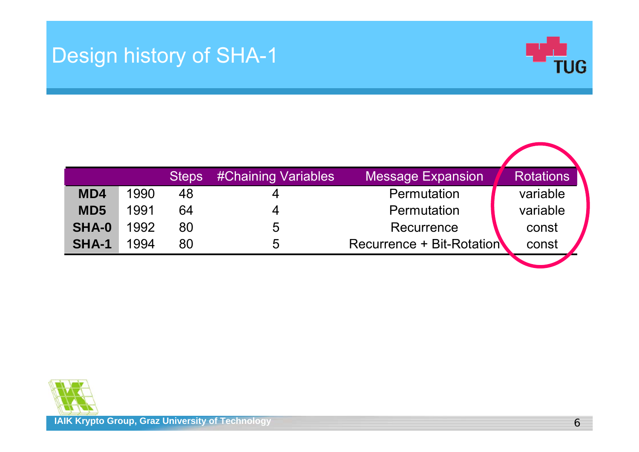## Design history of SHA-1



|                 |      | <b>Steps</b> | <b>#Chaining Variables</b> | <b>Message Expansion</b>         | <b>Rotations</b> |
|-----------------|------|--------------|----------------------------|----------------------------------|------------------|
| MD4             | 1990 | 48           | 4                          | Permutation                      | variable         |
| MD <sub>5</sub> | 1991 | 64           | 4                          | Permutation                      | variable         |
| <b>SHA-0</b>    | 1992 | 80           | 5                          | Recurrence                       | const            |
| SHA-1           | 1994 | 80           | 5                          | <b>Recurrence + Bit-Rotation</b> | const            |
|                 |      |              |                            |                                  |                  |

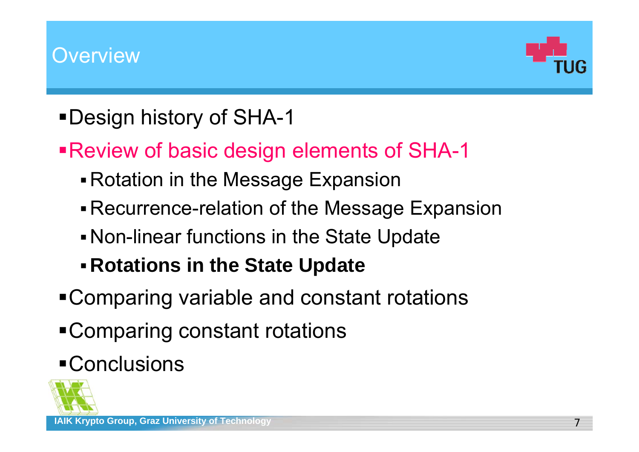

- Design history of SHA-1
- Review of basic design elements of SHA-1
	- Rotation in the Message Expansion
	- Recurrence-relation of the Message Expansion
	- Non-linear functions in the State Update
	- **Rotations in the State Update**
- Comparing variable and constant rotations
- Comparing constant rotations

# **-Conclusions**

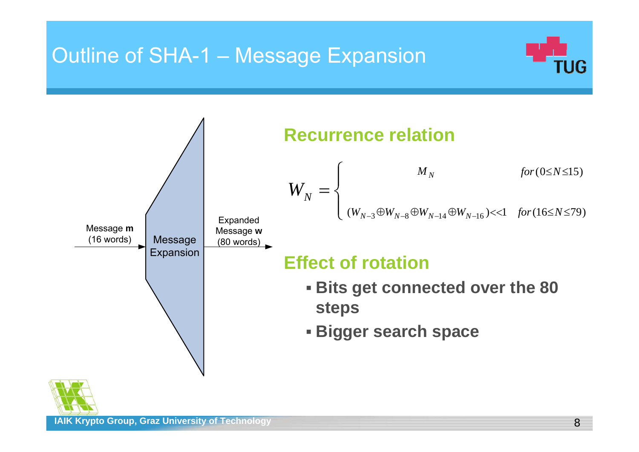## Outline of SHA-1 – Message Expansion





**IAIK Krypto Group, Graz University of Technology**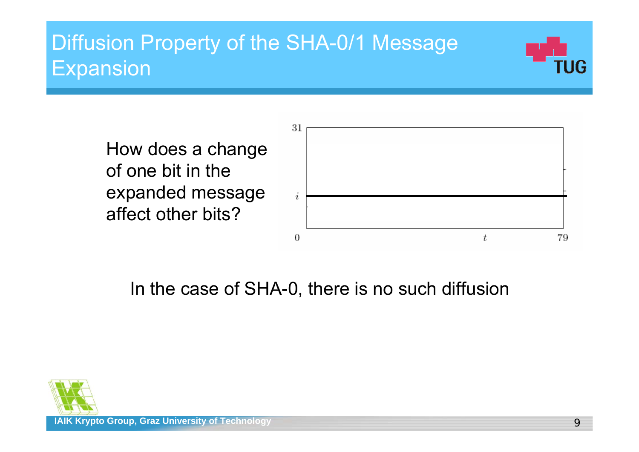## Diffusion Property of the SHA-0/1 Message **Expansion**



How does a change of one bit in the expanded message affect other bits?



## In the case of SHA-0, there is no such diffusion

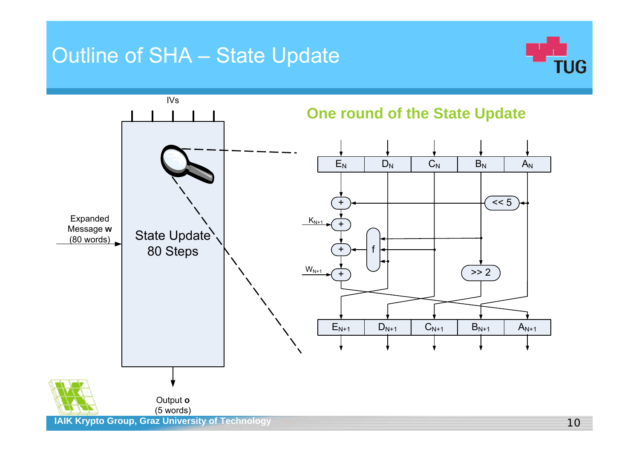### Outline of SHA – State Update



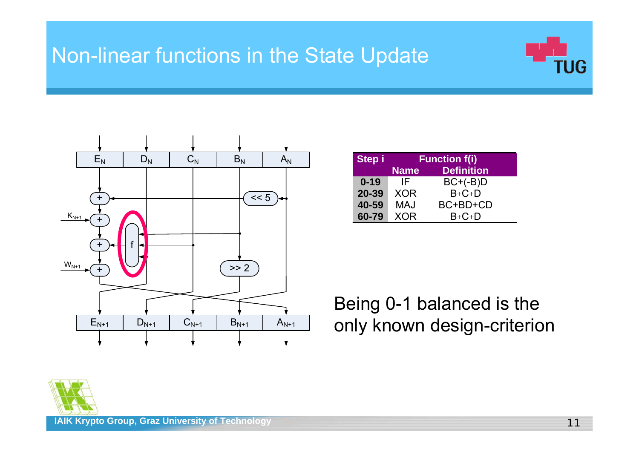## Non-linear functions in the State Update





| Step i   |             | <b>Function f(i)</b> |
|----------|-------------|----------------------|
|          | <b>Name</b> | <b>Definition</b>    |
| $0 - 19$ | IF          | $BC+(B)D$            |
| 20-39    | <b>XOR</b>  | $B+C+D$              |
| 40-59    | <b>MAJ</b>  | BC+BD+CD             |
| 60-79    | <b>XOR</b>  | $B + C + D$          |

Being 0-1 balanced is the only known design-criterion

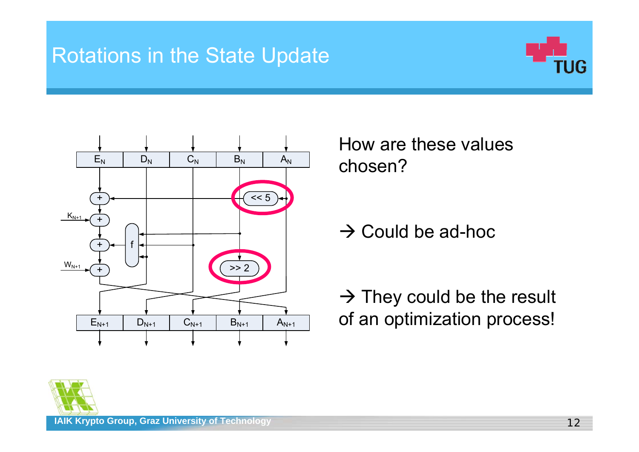## Rotations in the State Update





How are these values chosen?

 $\rightarrow$  Could be ad-hoc

 $\rightarrow$  They could be the result of an optimization process!

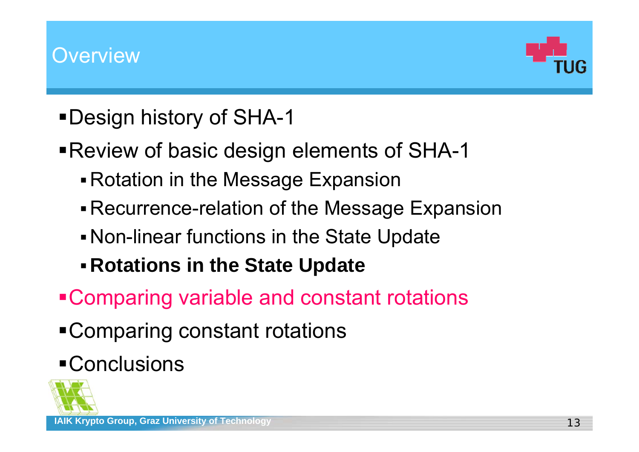

- Design history of SHA-1
- Review of basic design elements of SHA-1
	- Rotation in the Message Expansion
	- Recurrence-relation of the Message Expansion
	- Non-linear functions in the State Update
	- **Rotations in the State Update**
- Comparing variable and constant rotations
- Comparing constant rotations

# **-Conclusions**

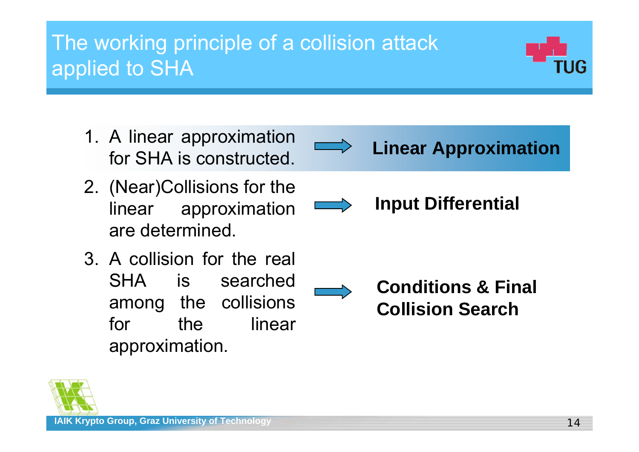## The working principle of a collision attack applied to SHA

- 1. A linear approximation for SHA is constructed.
- 2. (Near)Collisions for the linear approximation are determined.
- 3. A collision for the real SHA is searched among the collisions for the linear approximation.

**Linear Approximation**

**Input Differential**





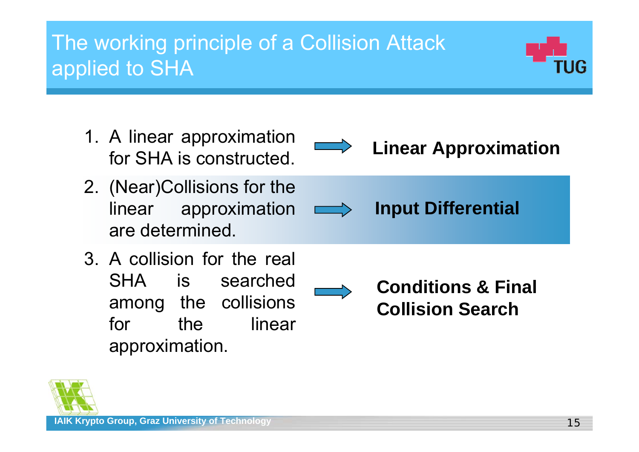## The working principle of a Collision Attack applied to SHA

- 1. A linear approximation for SHA is constructed.
- 2. (Near)Collisions for the linear approximation  $\implies$ are determined.
- 3. A collision for the real SHA is searched among the collisions for the linear approximation.

**Linear Approximation**

**Input Differential**

**Conditions & Final Collision Search**



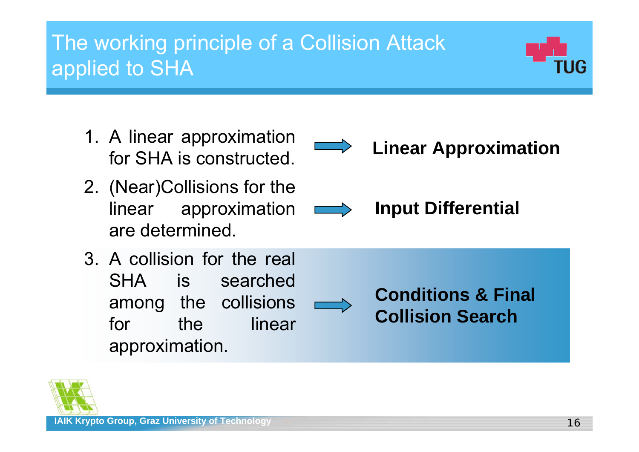## The working principle of a Collision Attack applied to SHA

- 1. A linear approximation for SHA is constructed.
- 2. (Near)Collisions for the linear approximation are determined.
- 3. A collision for the real SHA is searched among the collisions for the linear linear approximation.

**IAIK Krypto Group, Graz University of Technology 16 and 16 and 16 and 16 and 16 and 16 and 16 and 16 and 16 and 16 and 16 and 16 and 16 and 16 and 16 and 16 and 16 and 16 and 16 and 16 and 16 and 16 and 16 and 16 and 16 a** 



**Input Differential**

**Conditions & Final Collision Search**



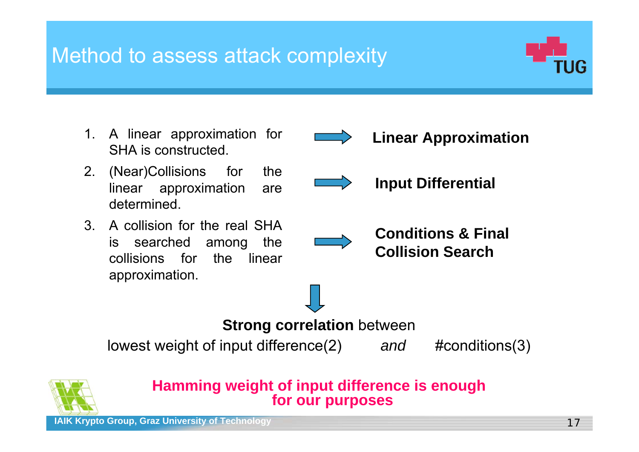## Method to assess attack complexity



- 1. A linear approximation for SHA is constructed.
- 2. (Near)Collisions for the linear approximation are determined.
- 3. A collision for the real SHA is searched among the collisions for the linear approximation.





**Input Differential**



**Conditions & Final Collision Search**

#### **Strong correlation** between

lowest weight of input difference(2) *and* #conditions(3)



#### **Hamming weight of input difference is enough for our purposes**

**IAIK Krypto Group, Graz University of Technology** 17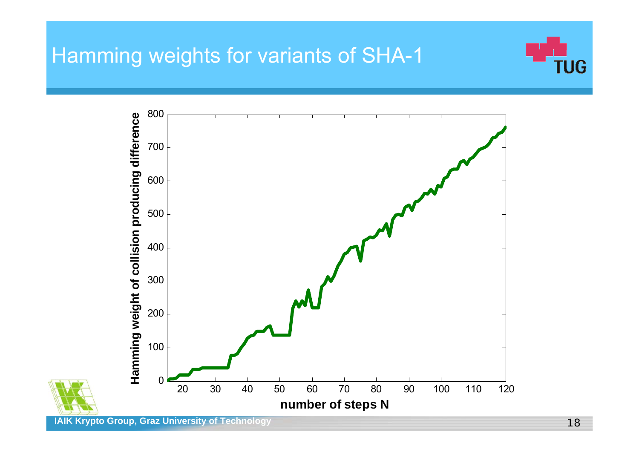#### Hamming weights for variants of SHA-1



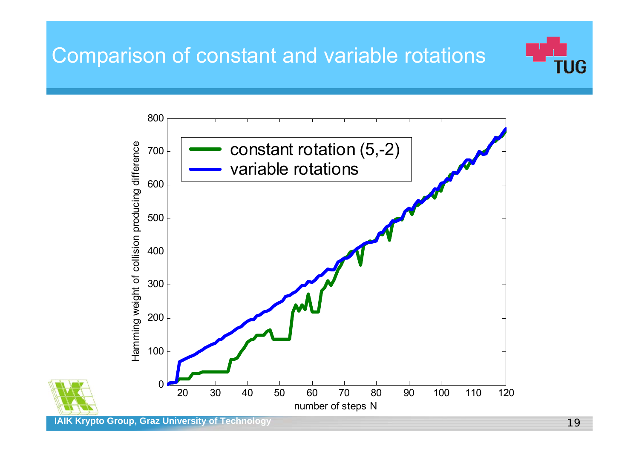## Comparison of constant and variable rotations





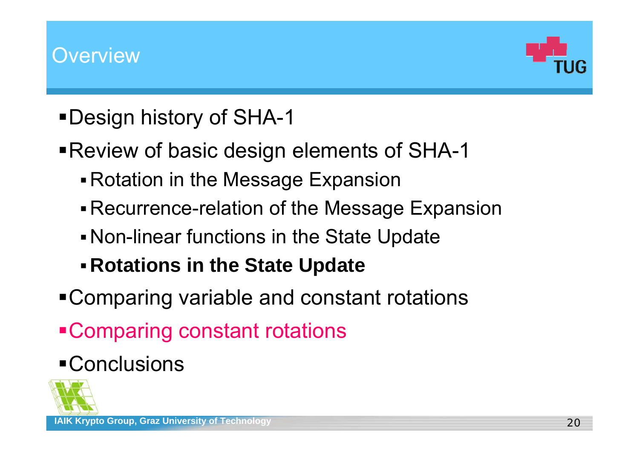

- Design history of SHA-1
- Review of basic design elements of SHA-1
	- Rotation in the Message Expansion
	- Recurrence-relation of the Message Expansion
	- Non-linear functions in the State Update
	- **Rotations in the State Update**
- Comparing variable and constant rotations
- Comparing constant rotations

# **-Conclusions**

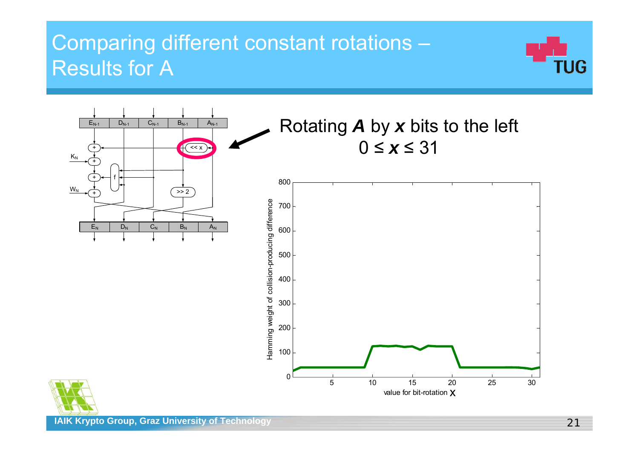

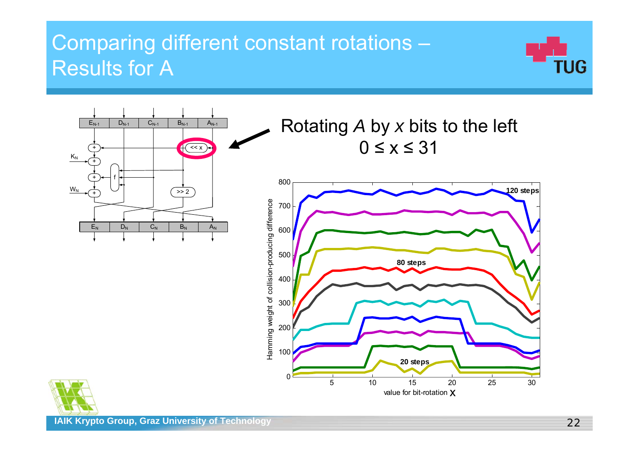



Rotating *A* by *x* bits to the left 0 ≤ x ≤ 31



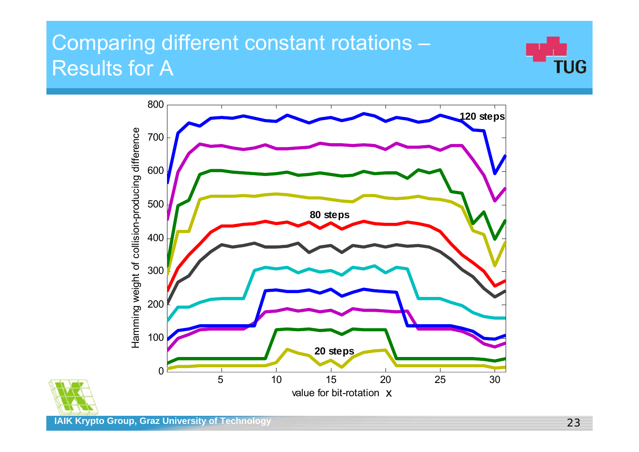



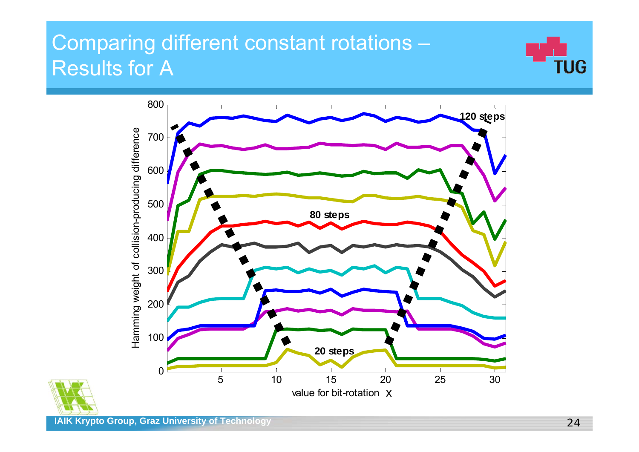



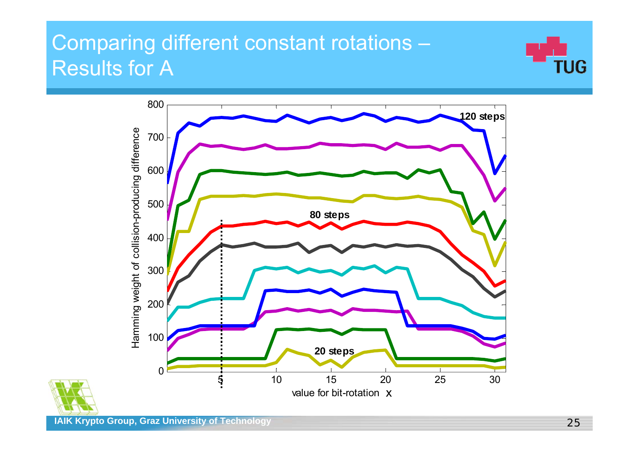



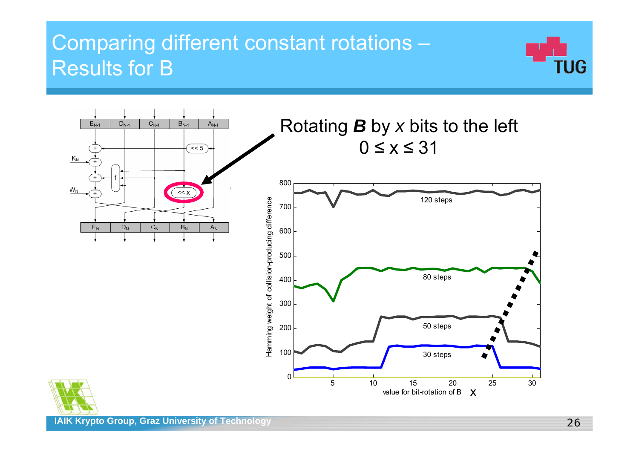



**IAIK Krypto Group, Graz University of Technology**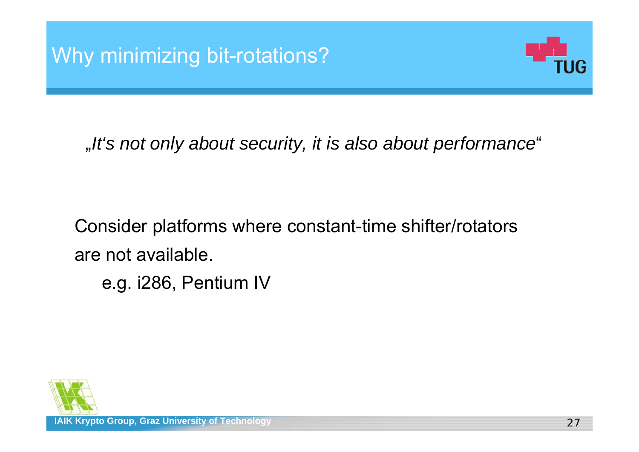

"*It's not only about security, it is also about performance* "

Consider platforms where constant-time shifter/rotators are not available.

e.g. i286, Pentium IV

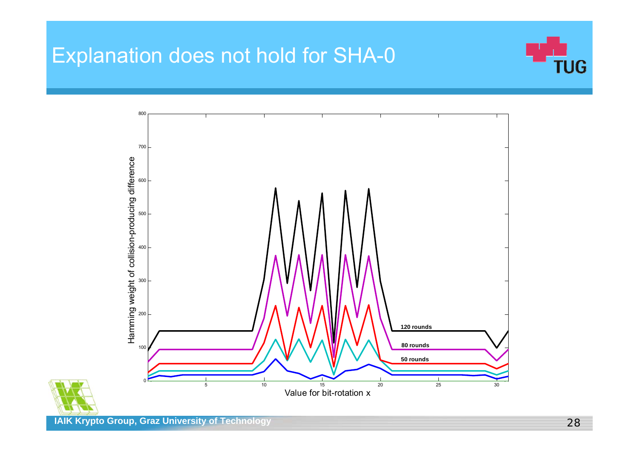#### Explanation does not hold for SHA-0





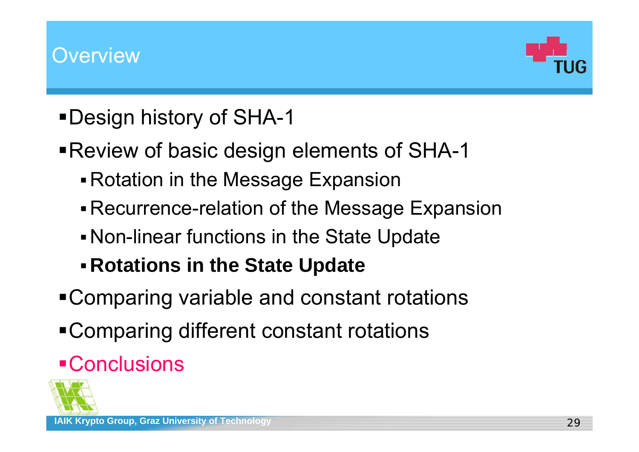

- Design history of SHA-1
- Review of basic design elements of SHA-1
	- Rotation in the Message Expansion
	- Recurrence-relation of the Message Expansion
	- Non-linear functions in the State Update
	- **Rotations in the State Update**
- Comparing variable and constant rotations
- Comparing different constant rotations

# **Conclusions**